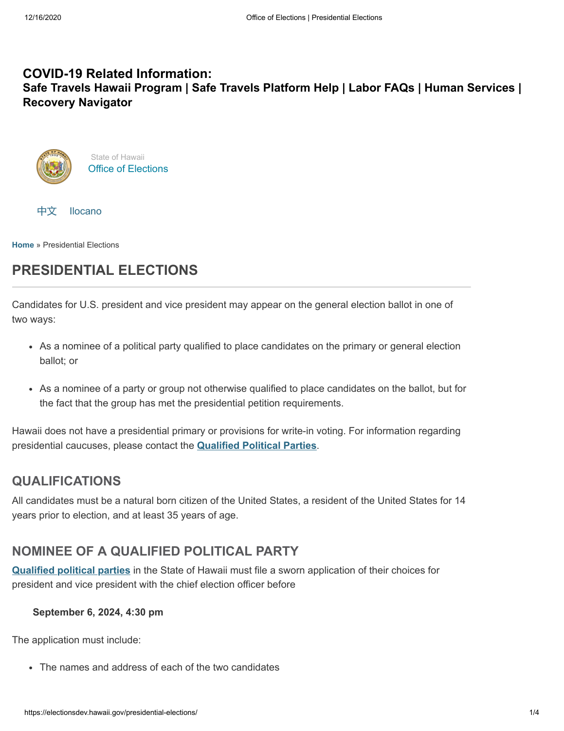### **COVID-19 Related Information: Safe Travels Hawaii [Program](https://hawaiicovid19.com/travel/faqs/) | Safe Travels [Platform](https://ets.hawaii.gov/travelhelp/) Help | [Labor](https://labor.hawaii.gov/covid-19-labor-faqs) FAQs | Human [Services](https://humanservices.hawaii.gov/) | Recovery [Navigator](https://recoverynavigator.hawaii.gov/)**





**[Home](https://electionsdev.hawaii.gov/)** » Presidential Elections

# **PRESIDENTIAL ELECTIONS**

Candidates for U.S. president and vice president may appear on the general election ballot in one of two ways:

- As a nominee of a political party qualified to place candidates on the primary or general election ballot; or
- As a nominee of a party or group not otherwise qualified to place candidates on the ballot, but for the fact that the group has met the presidential petition requirements.

Hawaii does not have a presidential primary or provisions for write-in voting. For information regarding presidential caucuses, please contact the **[Qualified](https://electionsdev.hawaii.gov/political-parties/qualified-political-parties/) Political Parties**.

## **QUALIFICATIONS**

All candidates must be a natural born citizen of the United States, a resident of the United States for 14 years prior to election, and at least 35 years of age.

## **NOMINEE OF A QUALIFIED POLITICAL PARTY**

**[Qualified](https://electionsdev.hawaii.gov/political-parties/qualified-political-parties/) political parties** in the State of Hawaii must file a sworn application of their choices for president and vice president with the chief election officer before

### **September 6, 2024, 4:30 pm**

The application must include:

The names and address of each of the two candidates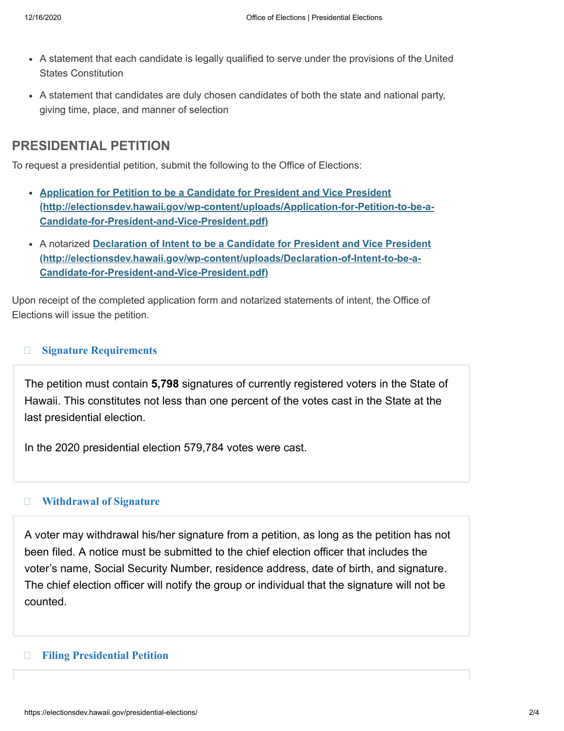- A statement that each candidate is legally qualified to serve under the provisions of the United States Constitution
- A statement that candidates are duly chosen candidates of both the state and national party, giving time, place, and manner of selection

## **PRESIDENTIAL PETITION**

To request a presidential petition, submit the following to the Office of Elections:

- **Application for Petition to be a Candidate for President and Vice President [\(http://electionsdev.hawaii.gov/wp-content/uploads/Application-for-Petition-to-be-a-](http://electionsdev.hawaii.gov/wp-content/uploads/Application-for-Petition-to-be-a-Candidate-for-President-and-Vice-President.pdf)Candidate-for-President-and-Vice-President.pdf)**
- A notarized **Declaration of Intent to be a Candidate for President and Vice President [\(http://electionsdev.hawaii.gov/wp-content/uploads/Declaration-of-Intent-to-be-a-](http://electionsdev.hawaii.gov/wp-content/uploads/Declaration-of-Intent-to-be-a-Candidate-for-President-and-Vice-President.pdf)Candidate-for-President-and-Vice-President.pdf)**

Upon receipt of the completed application form and notarized statements of intent, the Office of Elections will issue the petition.

#### $\Box$ **[Signature Requirements](#page-1-0)**

<span id="page-1-0"></span>The petition must contain **5,798** signatures of currently registered voters in the State of Hawaii. This constitutes not less than one percent of the votes cast in the State at the last presidential election.

In the 2020 presidential election 579,784 votes were cast.

#### $\Box$ **[Withdrawal of Signature](#page-1-1)**

<span id="page-1-1"></span>A voter may withdrawal his/her signature from a petition, as long as the petition has not been filed. A notice must be submitted to the chief election officer that includes the voter's name, Social Security Number, residence address, date of birth, and signature. The chief election officer will notify the group or individual that the signature will not be counted.

#### <span id="page-1-2"></span> $\Box$ **[Filing Presidential Petition](#page-1-2)**